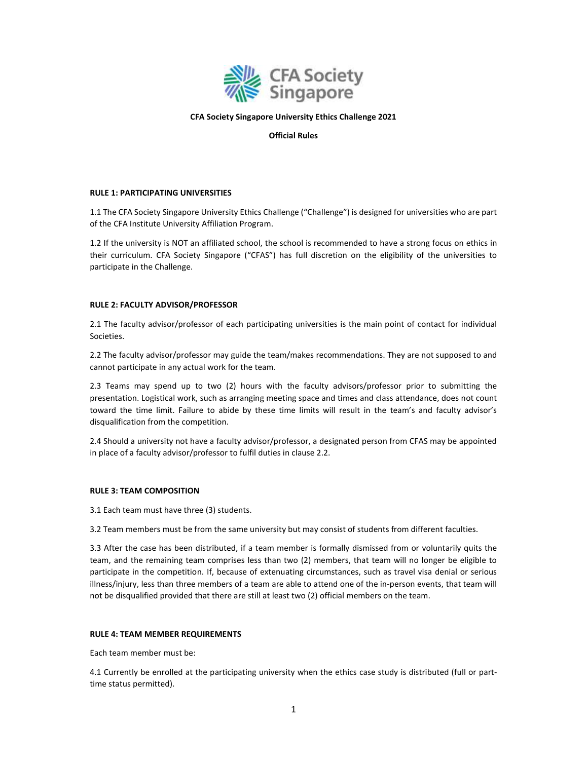

## CFA Society Singapore University Ethics Challenge 2021

## Official Rules

## RULE 1: PARTICIPATING UNIVERSITIES

1.1 The CFA Society Singapore University Ethics Challenge ("Challenge") is designed for universities who are part of the CFA Institute University Affiliation Program.

1.2 If the university is NOT an affiliated school, the school is recommended to have a strong focus on ethics in their curriculum. CFA Society Singapore ("CFAS") has full discretion on the eligibility of the universities to participate in the Challenge.

## RULE 2: FACULTY ADVISOR/PROFESSOR

2.1 The faculty advisor/professor of each participating universities is the main point of contact for individual Societies.

2.2 The faculty advisor/professor may guide the team/makes recommendations. They are not supposed to and cannot participate in any actual work for the team.

2.3 Teams may spend up to two (2) hours with the faculty advisors/professor prior to submitting the presentation. Logistical work, such as arranging meeting space and times and class attendance, does not count toward the time limit. Failure to abide by these time limits will result in the team's and faculty advisor's disqualification from the competition.

2.4 Should a university not have a faculty advisor/professor, a designated person from CFAS may be appointed in place of a faculty advisor/professor to fulfil duties in clause 2.2.

## RULE 3: TEAM COMPOSITION

3.1 Each team must have three (3) students.

3.2 Team members must be from the same university but may consist of students from different faculties.

3.3 After the case has been distributed, if a team member is formally dismissed from or voluntarily quits the team, and the remaining team comprises less than two (2) members, that team will no longer be eligible to participate in the competition. If, because of extenuating circumstances, such as travel visa denial or serious illness/injury, less than three members of a team are able to attend one of the in-person events, that team will not be disqualified provided that there are still at least two (2) official members on the team.

## RULE 4: TEAM MEMBER REQUIREMENTS

Each team member must be:

4.1 Currently be enrolled at the participating university when the ethics case study is distributed (full or parttime status permitted).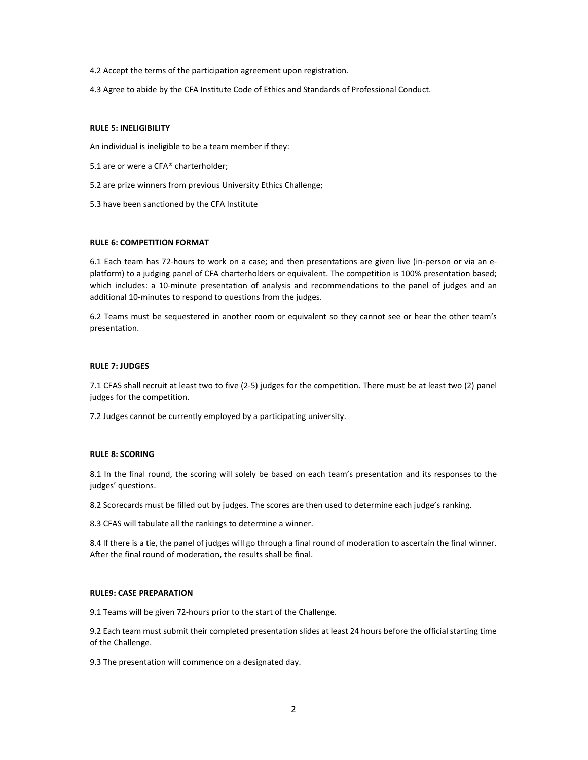- 4.2 Accept the terms of the participation agreement upon registration.
- 4.3 Agree to abide by the CFA Institute Code of Ethics and Standards of Professional Conduct.

## RULE 5: INELIGIBILITY

An individual is ineligible to be a team member if they:

- 5.1 are or were a CFA® charterholder;
- 5.2 are prize winners from previous University Ethics Challenge;
- 5.3 have been sanctioned by the CFA Institute

## RULE 6: COMPETITION FORMAT

6.1 Each team has 72-hours to work on a case; and then presentations are given live (in-person or via an eplatform) to a judging panel of CFA charterholders or equivalent. The competition is 100% presentation based; which includes: a 10-minute presentation of analysis and recommendations to the panel of judges and an additional 10-minutes to respond to questions from the judges.

6.2 Teams must be sequestered in another room or equivalent so they cannot see or hear the other team's presentation.

## RULE 7: JUDGES

7.1 CFAS shall recruit at least two to five (2-5) judges for the competition. There must be at least two (2) panel judges for the competition.

7.2 Judges cannot be currently employed by a participating university.

# RULE 8: SCORING

8.1 In the final round, the scoring will solely be based on each team's presentation and its responses to the judges' questions.

8.2 Scorecards must be filled out by judges. The scores are then used to determine each judge's ranking.

8.3 CFAS will tabulate all the rankings to determine a winner.

8.4 If there is a tie, the panel of judges will go through a final round of moderation to ascertain the final winner. After the final round of moderation, the results shall be final.

## RULE9: CASE PREPARATION

9.1 Teams will be given 72-hours prior to the start of the Challenge.

9.2 Each team must submit their completed presentation slides at least 24 hours before the official starting time of the Challenge.

9.3 The presentation will commence on a designated day.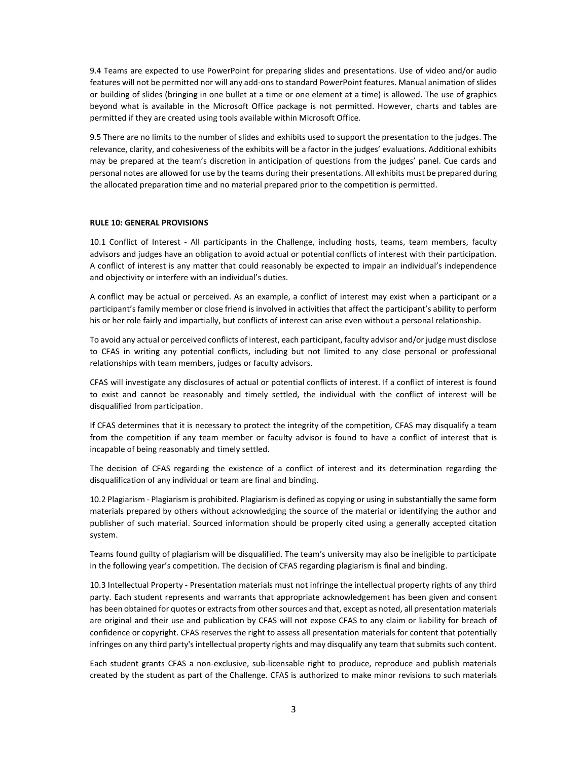9.4 Teams are expected to use PowerPoint for preparing slides and presentations. Use of video and/or audio features will not be permitted nor will any add-ons to standard PowerPoint features. Manual animation of slides or building of slides (bringing in one bullet at a time or one element at a time) is allowed. The use of graphics beyond what is available in the Microsoft Office package is not permitted. However, charts and tables are permitted if they are created using tools available within Microsoft Office.

9.5 There are no limits to the number of slides and exhibits used to support the presentation to the judges. The relevance, clarity, and cohesiveness of the exhibits will be a factor in the judges' evaluations. Additional exhibits may be prepared at the team's discretion in anticipation of questions from the judges' panel. Cue cards and personal notes are allowed for use by the teams during their presentations. All exhibits must be prepared during the allocated preparation time and no material prepared prior to the competition is permitted.

## RULE 10: GENERAL PROVISIONS

10.1 Conflict of Interest - All participants in the Challenge, including hosts, teams, team members, faculty advisors and judges have an obligation to avoid actual or potential conflicts of interest with their participation. A conflict of interest is any matter that could reasonably be expected to impair an individual's independence and objectivity or interfere with an individual's duties.

A conflict may be actual or perceived. As an example, a conflict of interest may exist when a participant or a participant's family member or close friend is involved in activities that affect the participant's ability to perform his or her role fairly and impartially, but conflicts of interest can arise even without a personal relationship.

To avoid any actual or perceived conflicts of interest, each participant, faculty advisor and/or judge must disclose to CFAS in writing any potential conflicts, including but not limited to any close personal or professional relationships with team members, judges or faculty advisors.

CFAS will investigate any disclosures of actual or potential conflicts of interest. If a conflict of interest is found to exist and cannot be reasonably and timely settled, the individual with the conflict of interest will be disqualified from participation.

If CFAS determines that it is necessary to protect the integrity of the competition, CFAS may disqualify a team from the competition if any team member or faculty advisor is found to have a conflict of interest that is incapable of being reasonably and timely settled.

The decision of CFAS regarding the existence of a conflict of interest and its determination regarding the disqualification of any individual or team are final and binding.

10.2 Plagiarism - Plagiarism is prohibited. Plagiarism is defined as copying or using in substantially the same form materials prepared by others without acknowledging the source of the material or identifying the author and publisher of such material. Sourced information should be properly cited using a generally accepted citation system.

Teams found guilty of plagiarism will be disqualified. The team's university may also be ineligible to participate in the following year's competition. The decision of CFAS regarding plagiarism is final and binding.

10.3 Intellectual Property - Presentation materials must not infringe the intellectual property rights of any third party. Each student represents and warrants that appropriate acknowledgement has been given and consent has been obtained for quotes or extracts from other sources and that, except as noted, all presentation materials are original and their use and publication by CFAS will not expose CFAS to any claim or liability for breach of confidence or copyright. CFAS reserves the right to assess all presentation materials for content that potentially infringes on any third party's intellectual property rights and may disqualify any team that submits such content.

Each student grants CFAS a non-exclusive, sub-licensable right to produce, reproduce and publish materials created by the student as part of the Challenge. CFAS is authorized to make minor revisions to such materials